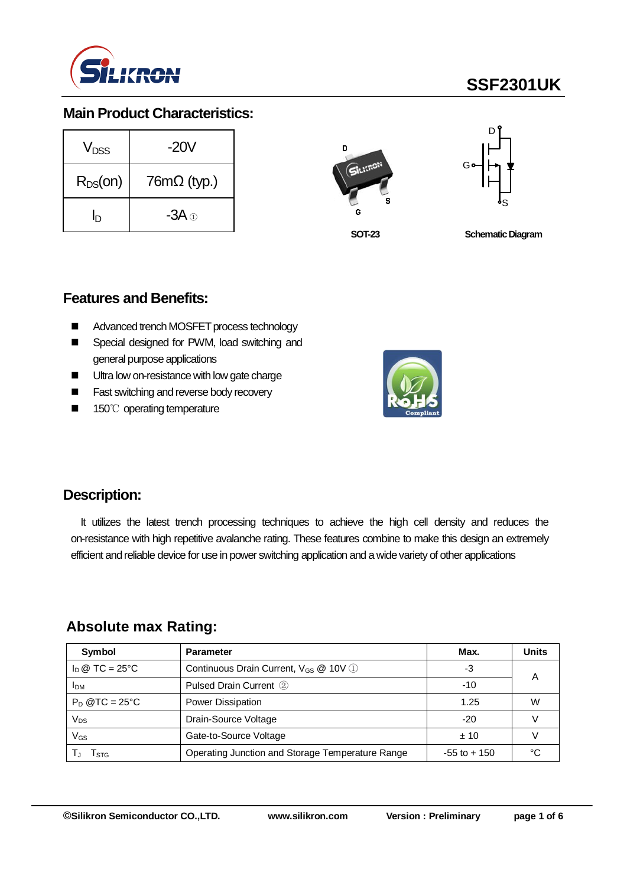

# **SSF2301UK**

## **Main Product Characteristics:**

| $V_{DSS}$    | $-20V$             |  |  |
|--------------|--------------------|--|--|
| $R_{DS}(on)$ | $76m\Omega$ (typ.) |  |  |
| ln           | -3A $\oplus$       |  |  |





**SOT-23**

**Schematic Diagram** 

### **Features and Benefits:**

- Advanced trench MOSFET process technology
- Special designed for PWM, load switching and general purpose applications
- Ultra low on-resistance with low gate charge
- Fast switching and reverse body recovery
- 150℃ operating temperature



### **Description:**

It utilizes the latest trench processing techniques to achieve the high cell density and reduces the on-resistance with high repetitive avalanche rating. These features combine to make this design an extremely efficient and reliable device for use in power switching application and a wide variety of other applications

### **Absolute max Rating:**

| Symbol                         | <b>Parameter</b>                                  | Max.            | <b>Units</b> |
|--------------------------------|---------------------------------------------------|-----------------|--------------|
| $I_D \otimes TC = 25^{\circ}C$ | Continuous Drain Current, V <sub>GS</sub> @ 10V 1 | -3              | A            |
| <b>IDM</b>                     | Pulsed Drain Current 2                            | $-10$           |              |
| $P_D$ @TC = 25°C               | Power Dissipation                                 | 1.25            | W            |
| Vps                            | Drain-Source Voltage                              | $-20$           |              |
| VGs                            | Gate-to-Source Voltage                            | ±10             |              |
| l stg                          | Operating Junction and Storage Temperature Range  | $-55$ to $+150$ | ∘∩           |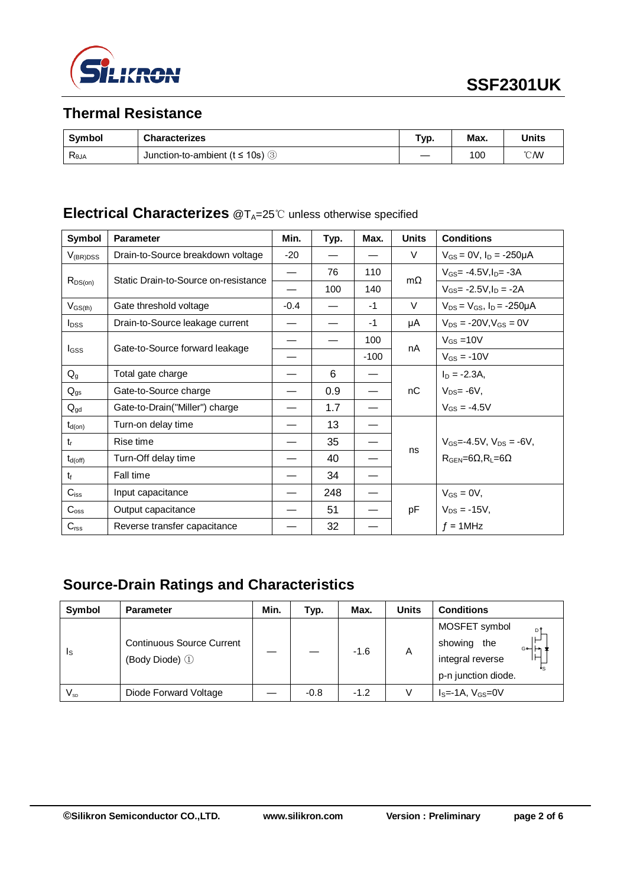

# **Thermal Resistance**

| <b>Symbol</b>  | <b>Characterizes</b>                               | Гур. | Max. | Units         |
|----------------|----------------------------------------------------|------|------|---------------|
| $R_{\theta$ JA | Junction-to-ambient ( $t \le 10$ s) $\circledcirc$ |      | 100  | $\degree$ CMV |

# **Electrical Characterizes** @T<sub>A</sub>=25℃ unless otherwise specified

| Symbol           | <b>Parameter</b>                     | Min.   | Typ. | Max.   | <b>Units</b> | <b>Conditions</b>                                  |
|------------------|--------------------------------------|--------|------|--------|--------------|----------------------------------------------------|
| $V_{(BR)DSS}$    | Drain-to-Source breakdown voltage    | $-20$  |      |        | V            | $V_{GS} = 0V$ , $I_D = -250\mu A$                  |
|                  | Static Drain-to-Source on-resistance |        | 76   | 110    | $m\Omega$    | $V_{GS} = -4.5V, I_D = -3A$                        |
| $R_{DS(on)}$     |                                      |        | 100  | 140    |              | $V_{GS} = -2.5V I_D = -2A$                         |
| $V_{GS(th)}$     | Gate threshold voltage               | $-0.4$ |      | $-1$   | $\vee$       | $V_{DS} = V_{GS}$ , $I_D = -250 \mu A$             |
| $I_{DSS}$        | Drain-to-Source leakage current      |        |      | $-1$   | μA           | $V_{DS} = -20V$ , $V_{GS} = 0V$                    |
|                  |                                      |        |      | 100    |              | $V_{GS}$ = 10V                                     |
| I <sub>GSS</sub> | Gate-to-Source forward leakage       |        |      | $-100$ | nA           | $V_{GS} = -10V$                                    |
| $Q_{g}$          | Total gate charge                    |        | 6    |        |              | $I_D = -2.3A$                                      |
| $Q_{gs}$         | Gate-to-Source charge                |        | 0.9  |        | nC           | $V_{DS} = -6V$ ,                                   |
| $Q_{gd}$         | Gate-to-Drain("Miller") charge       |        | 1.7  |        |              | $V_{GS} = -4.5V$                                   |
| $t_{d(on)}$      | Turn-on delay time                   |        | 13   |        |              |                                                    |
| $t_{r}$          | Rise time                            |        | 35   |        |              | $V_{GS} = -4.5V$ , $V_{DS} = -6V$ ,                |
| $t_{d(off)}$     | Turn-Off delay time                  |        | 40   |        | ns           | $R_{\text{GEN}} = 6\Omega, R_{\text{L}} = 6\Omega$ |
| $t_{\rm f}$      | Fall time                            |        | 34   |        |              |                                                    |
| $C_{iss}$        | Input capacitance                    |        | 248  |        |              | $V_{GS} = 0V$ ,                                    |
| $C_{\rm oss}$    | Output capacitance                   |        | 51   |        | pF           | $V_{DS} = -15V$ ,                                  |
| $C_{\text{rss}}$ | Reverse transfer capacitance         |        | 32   |        |              | $f = 1$ MHz                                        |

# **Source-Drain Ratings and Characteristics**

| <b>Symbol</b>              | <b>Parameter</b>                                   | Min. | Typ.   | Max.   | <b>Units</b> | <b>Conditions</b>                                                                        |
|----------------------------|----------------------------------------------------|------|--------|--------|--------------|------------------------------------------------------------------------------------------|
| $\mathsf{I}_\mathsf{S}$    | <b>Continuous Source Current</b><br>(Body Diode) 1 |      |        | $-1.6$ | A            | MOSFET symbol<br>DΊ<br>showing<br>the<br>G⊶⊢∽<br>integral reverse<br>p-n junction diode. |
| $\mathsf{V}_{\mathsf{sp}}$ | Diode Forward Voltage                              |      | $-0.8$ | $-1.2$ |              | $IS=-1A, VGS=0V$                                                                         |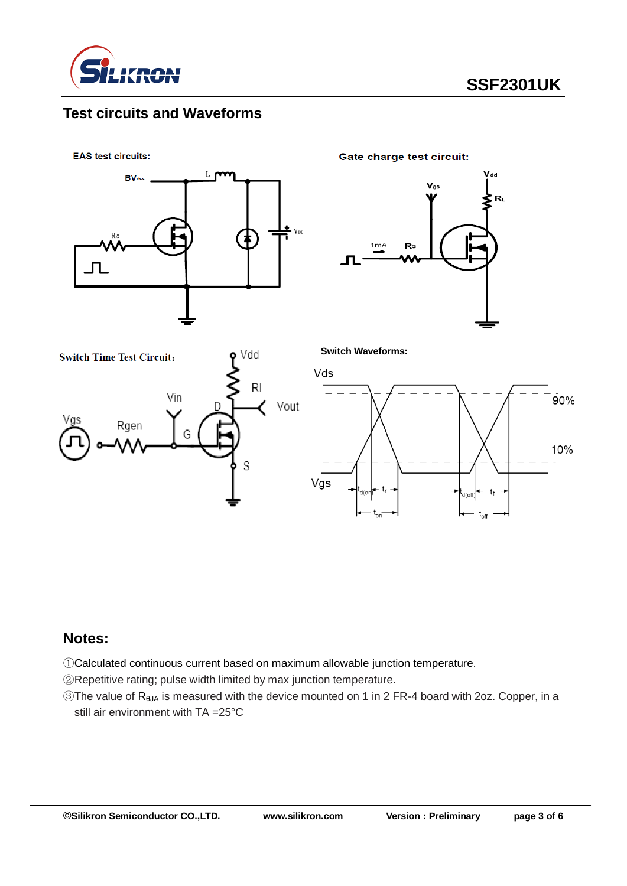

# **Test circuits and Waveforms**

**EAS test circuits:** 



**Gate charge test circuit:** 







Vgs

**Switch Waveforms:**

### **Notes:**

①Calculated continuous current based on maximum allowable junction temperature.

②Repetitive rating; pulse width limited by max junction temperature.

③The value of RθJA is measured with the device mounted on 1 in 2 FR-4 board with 2oz. Copper, in a still air environment with TA =25°C

 $90%$ 

10%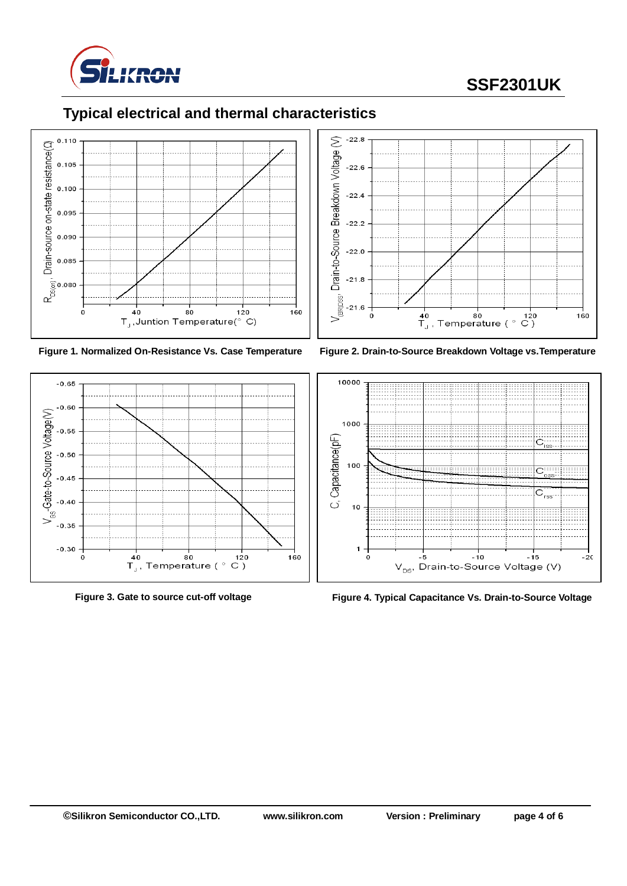

# **SSF2301UK**















**Figure 3. Gate to source cut-off voltage Figure 4. Typical Capacitance Vs. Drain-to-Source Voltage**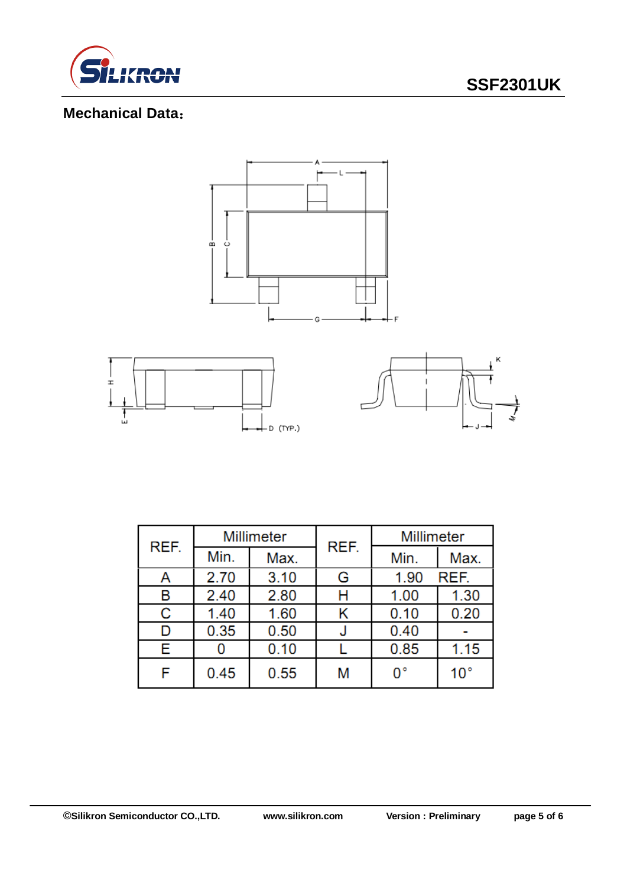

# **SSF2301UK**

# **Mechanical Data**:



| REF. | Millimeter |      | REF. | Millimeter |              |  |
|------|------------|------|------|------------|--------------|--|
|      | Min.       | Max. |      | Min.       | Max.         |  |
| Α    | 2.70       | 3.10 | G    | 1.90       | REF.         |  |
| В    | 2.40       | 2.80 | Н    | 1.00       | 1.30         |  |
| C    | 1.40       | 1.60 | Κ    | 0.10       | 0.20         |  |
| D    | 0.35       | 0.50 |      | 0.40       |              |  |
| Е    |            | 0.10 |      | 0.85       | 1.15         |  |
| F    | 0.45       | 0.55 | M    | 0°         | $10^{\circ}$ |  |